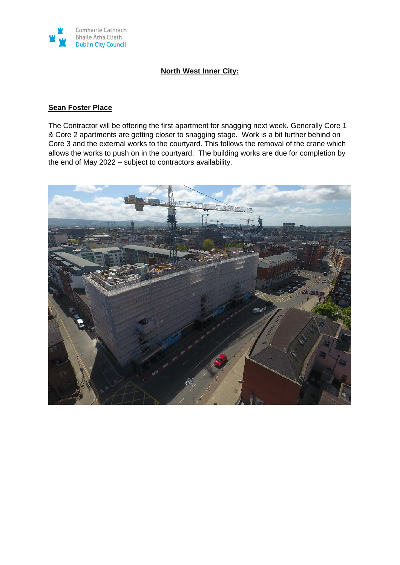

### **North West Inner City:**

### **Sean Foster Place**

The Contractor will be offering the first apartment for snagging next week. Generally Core 1 & Core 2 apartments are getting closer to snagging stage. Work is a bit further behind on Core 3 and the external works to the courtyard. This follows the removal of the crane which allows the works to push on in the courtyard. The building works are due for completion by the end of May 2022 – subject to contractors availability.

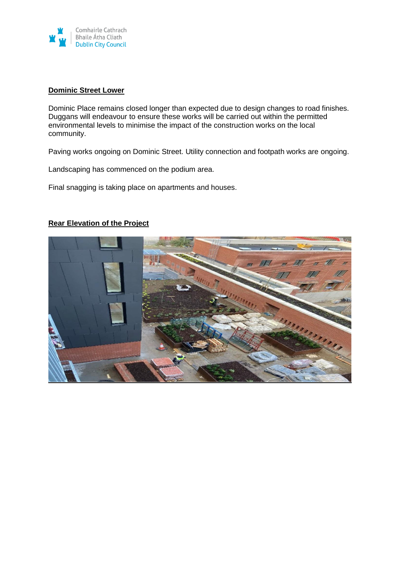

### **Dominic Street Lower**

Dominic Place remains closed longer than expected due to design changes to road finishes. Duggans will endeavour to ensure these works will be carried out within the permitted environmental levels to minimise the impact of the construction works on the local community.

Paving works ongoing on Dominic Street. Utility connection and footpath works are ongoing.

Landscaping has commenced on the podium area.

Final snagging is taking place on apartments and houses.



### **Rear Elevation of the Project**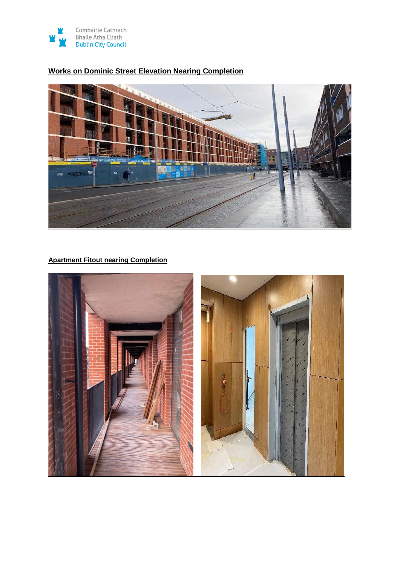

# **Works on Dominic Street Elevation Nearing Completion**



# **Apartment Fitout nearing Completion**

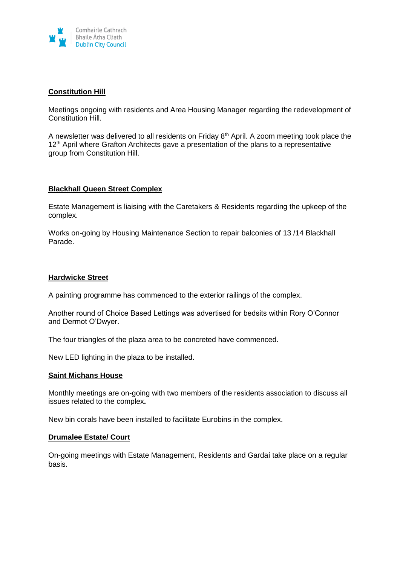

### **Constitution Hill**

Meetings ongoing with residents and Area Housing Manager regarding the redevelopment of Constitution Hill.

A newsletter was delivered to all residents on Friday 8<sup>th</sup> April. A zoom meeting took place the 12<sup>th</sup> April where Grafton Architects gave a presentation of the plans to a representative group from Constitution Hill.

#### **Blackhall Queen Street Complex**

Estate Management is liaising with the Caretakers & Residents regarding the upkeep of the complex.

Works on-going by Housing Maintenance Section to repair balconies of 13 /14 Blackhall Parade.

#### **Hardwicke Street**

A painting programme has commenced to the exterior railings of the complex.

Another round of Choice Based Lettings was advertised for bedsits within Rory O'Connor and Dermot O'Dwyer.

The four triangles of the plaza area to be concreted have commenced.

New LED lighting in the plaza to be installed.

#### **Saint Michans House**

Monthly meetings are on-going with two members of the residents association to discuss all issues related to the complex**.**

New bin corals have been installed to facilitate Eurobins in the complex.

#### **Drumalee Estate/ Court**

On-going meetings with Estate Management, Residents and Gardaí take place on a regular basis.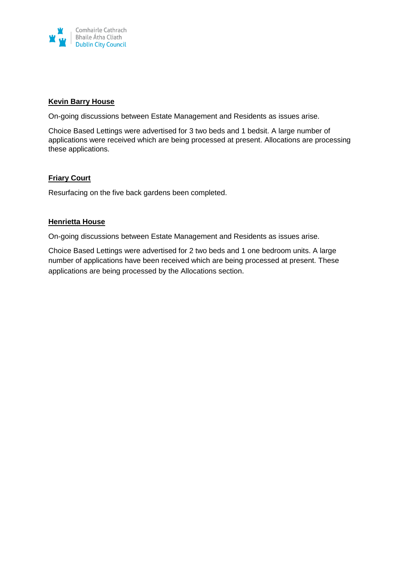

### **Kevin Barry House**

On-going discussions between Estate Management and Residents as issues arise.

Choice Based Lettings were advertised for 3 two beds and 1 bedsit. A large number of applications were received which are being processed at present. Allocations are processing these applications.

### **Friary Court**

Resurfacing on the five back gardens been completed.

### **Henrietta House**

On-going discussions between Estate Management and Residents as issues arise.

Choice Based Lettings were advertised for 2 two beds and 1 one bedroom units. A large number of applications have been received which are being processed at present. These applications are being processed by the Allocations section.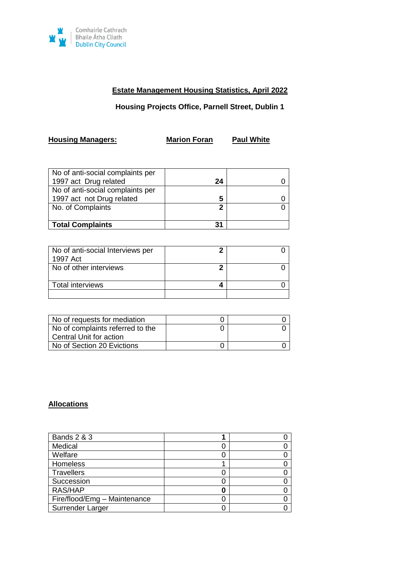

# **Estate Management Housing Statistics, April 2022**

### **Housing Projects Office, Parnell Street, Dublin 1**

**Housing Managers: Marion Foran Paul White**

| No of anti-social complaints per |    |  |
|----------------------------------|----|--|
| 1997 act Drug related            | 24 |  |
| No of anti-social complaints per |    |  |
| 1997 act not Drug related        | 5  |  |
| No. of Complaints                | 2  |  |
| <b>Total Complaints</b>          |    |  |

| No of anti-social Interviews per<br>1997 Act |  |
|----------------------------------------------|--|
| No of other interviews                       |  |
| <b>Total interviews</b>                      |  |
|                                              |  |

| No of requests for mediation     |  |
|----------------------------------|--|
| No of complaints referred to the |  |
| Central Unit for action          |  |
| No of Section 20 Evictions       |  |

# **Allocations**

| <b>Bands 2 &amp; 3</b>       |  |
|------------------------------|--|
| Medical                      |  |
| Welfare                      |  |
| <b>Homeless</b>              |  |
| Travellers                   |  |
| Succession                   |  |
| RAS/HAP                      |  |
| Fire/flood/Emg - Maintenance |  |
| Surrender Larger             |  |